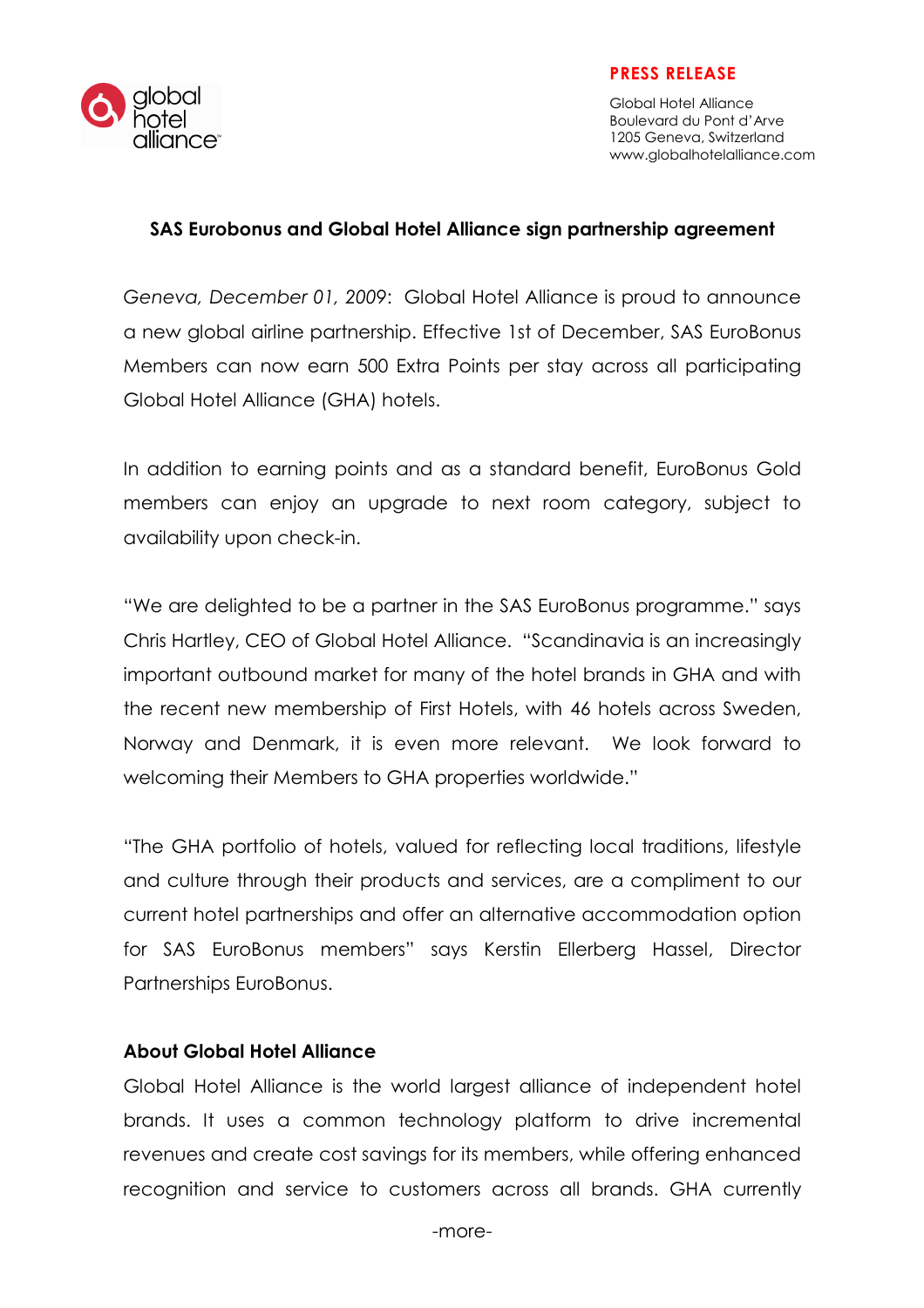

## PRESS RELEASE

Global Hotel Alliance Boulevard du Pont d'Arve 1205 Geneva, Switzerland www.globalhotelalliance.com

## SAS Eurobonus and Global Hotel Alliance sign partnership agreement

Geneva, December 01, 2009: Global Hotel Alliance is proud to announce a new global airline partnership. Effective 1st of December, SAS EuroBonus Members can now earn 500 Extra Points per stay across all participating Global Hotel Alliance (GHA) hotels.

In addition to earning points and as a standard benefit, EuroBonus Gold members can enjoy an upgrade to next room category, subject to availability upon check-in.

"We are delighted to be a partner in the SAS EuroBonus programme." says Chris Hartley, CEO of Global Hotel Alliance. "Scandinavia is an increasingly important outbound market for many of the hotel brands in GHA and with the recent new membership of First Hotels, with 46 hotels across Sweden, Norway and Denmark, it is even more relevant. We look forward to welcoming their Members to GHA properties worldwide."

"The GHA portfolio of hotels, valued for reflecting local traditions, lifestyle and culture through their products and services, are a compliment to our current hotel partnerships and offer an alternative accommodation option for SAS EuroBonus members" says Kerstin Ellerberg Hassel, Director Partnerships EuroBonus.

## About Global Hotel Alliance

Global Hotel Alliance is the world largest alliance of independent hotel brands. It uses a common technology platform to drive incremental revenues and create cost savings for its members, while offering enhanced recognition and service to customers across all brands. GHA currently